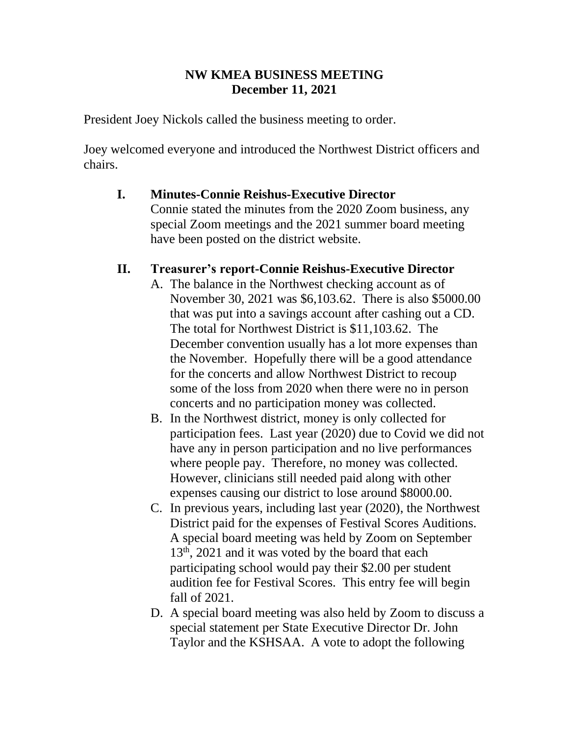### **NW KMEA BUSINESS MEETING December 11, 2021**

President Joey Nickols called the business meeting to order.

Joey welcomed everyone and introduced the Northwest District officers and chairs.

# **I. Minutes-Connie Reishus-Executive Director**

Connie stated the minutes from the 2020 Zoom business, any special Zoom meetings and the 2021 summer board meeting have been posted on the district website.

## **II. Treasurer's report-Connie Reishus-Executive Director**

- A. The balance in the Northwest checking account as of November 30, 2021 was \$6,103.62. There is also \$5000.00 that was put into a savings account after cashing out a CD. The total for Northwest District is \$11,103.62. The December convention usually has a lot more expenses than the November. Hopefully there will be a good attendance for the concerts and allow Northwest District to recoup some of the loss from 2020 when there were no in person concerts and no participation money was collected.
- B. In the Northwest district, money is only collected for participation fees. Last year (2020) due to Covid we did not have any in person participation and no live performances where people pay. Therefore, no money was collected. However, clinicians still needed paid along with other expenses causing our district to lose around \$8000.00.
- C. In previous years, including last year (2020), the Northwest District paid for the expenses of Festival Scores Auditions. A special board meeting was held by Zoom on September  $13<sup>th</sup>$ , 2021 and it was voted by the board that each participating school would pay their \$2.00 per student audition fee for Festival Scores. This entry fee will begin fall of 2021.
- D. A special board meeting was also held by Zoom to discuss a special statement per State Executive Director Dr. John Taylor and the KSHSAA. A vote to adopt the following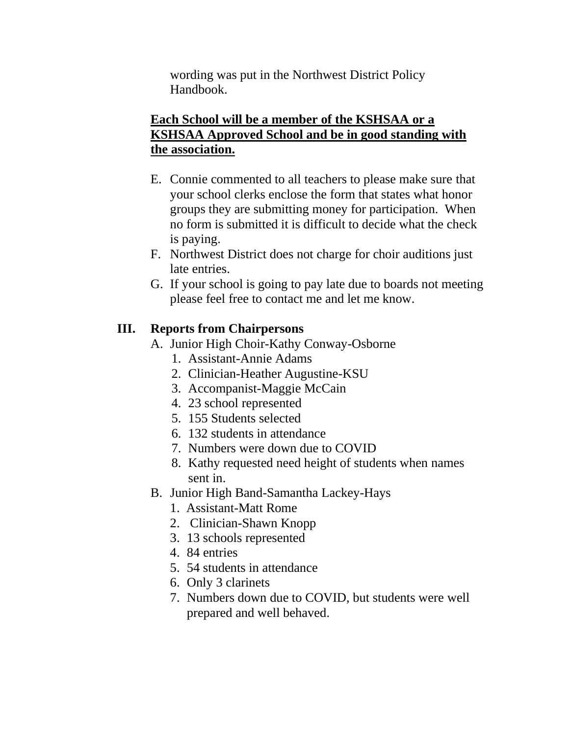wording was put in the Northwest District Policy Handbook.

### **Each School will be a member of the KSHSAA or a KSHSAA Approved School and be in good standing with the association.**

- E. Connie commented to all teachers to please make sure that your school clerks enclose the form that states what honor groups they are submitting money for participation. When no form is submitted it is difficult to decide what the check is paying.
- F. Northwest District does not charge for choir auditions just late entries.
- G. If your school is going to pay late due to boards not meeting please feel free to contact me and let me know.

### **III. Reports from Chairpersons**

- A. Junior High Choir-Kathy Conway-Osborne
	- 1. Assistant-Annie Adams
	- 2. Clinician-Heather Augustine-KSU
	- 3. Accompanist-Maggie McCain
	- 4. 23 school represented
	- 5. 155 Students selected
	- 6. 132 students in attendance
	- 7. Numbers were down due to COVID
	- 8. Kathy requested need height of students when names sent in.
- B. Junior High Band-Samantha Lackey-Hays
	- 1. Assistant-Matt Rome
	- 2. Clinician-Shawn Knopp
	- 3. 13 schools represented
	- 4. 84 entries
	- 5. 54 students in attendance
	- 6. Only 3 clarinets
	- 7. Numbers down due to COVID, but students were well prepared and well behaved.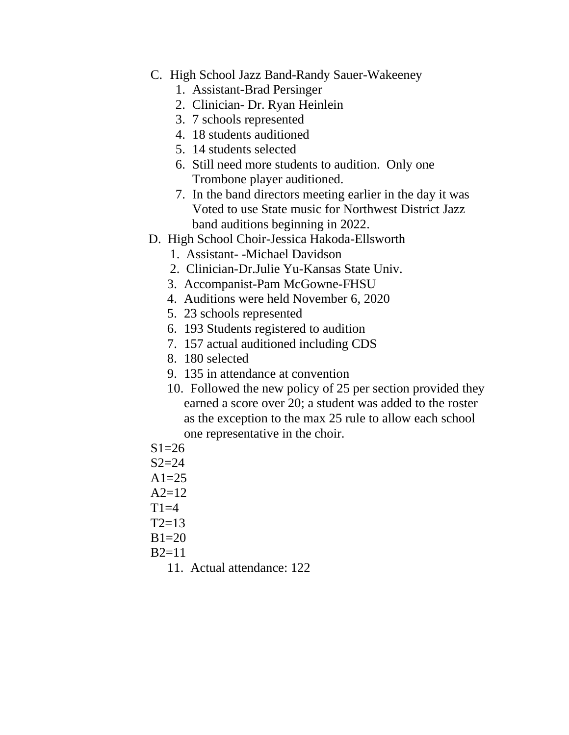- C. High School Jazz Band-Randy Sauer-Wakeeney
	- 1. Assistant-Brad Persinger
	- 2. Clinician- Dr. Ryan Heinlein
	- 3. 7 schools represented
	- 4. 18 students auditioned
	- 5. 14 students selected
	- 6. Still need more students to audition. Only one Trombone player auditioned.
	- 7. In the band directors meeting earlier in the day it was Voted to use State music for Northwest District Jazz band auditions beginning in 2022.
- D. High School Choir-Jessica Hakoda-Ellsworth
	- 1. Assistant- -Michael Davidson
	- 2. Clinician-Dr.Julie Yu-Kansas State Univ.
	- 3. Accompanist-Pam McGowne-FHSU
	- 4. Auditions were held November 6, 2020
	- 5. 23 schools represented
	- 6. 193 Students registered to audition
	- 7. 157 actual auditioned including CDS
	- 8. 180 selected
	- 9. 135 in attendance at convention
	- 10. Followed the new policy of 25 per section provided they earned a score over 20; a student was added to the roster as the exception to the max 25 rule to allow each school one representative in the choir.
- $S1=26$
- $S2 = 24$
- $A1=25$
- $A2=12$
- $T1=4$
- $T2=13$
- $B1=20$
- $B2=11$ 
	- 11. Actual attendance: 122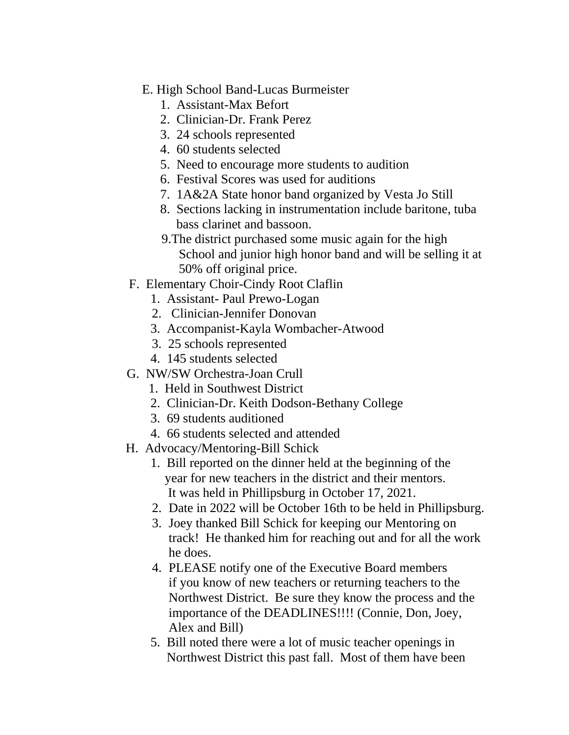- E. High School Band-Lucas Burmeister
	- 1. Assistant-Max Befort
	- 2. Clinician-Dr. Frank Perez
	- 3. 24 schools represented
	- 4. 60 students selected
	- 5. Need to encourage more students to audition
	- 6. Festival Scores was used for auditions
	- 7. 1A&2A State honor band organized by Vesta Jo Still
	- 8. Sections lacking in instrumentation include baritone, tuba bass clarinet and bassoon.
	- 9.The district purchased some music again for the high School and junior high honor band and will be selling it at 50% off original price.
- F. Elementary Choir-Cindy Root Claflin
	- 1. Assistant- Paul Prewo-Logan
	- 2. Clinician-Jennifer Donovan
	- 3. Accompanist-Kayla Wombacher-Atwood
	- 3. 25 schools represented
	- 4. 145 students selected
- G. NW/SW Orchestra-Joan Crull
	- 1. Held in Southwest District
	- 2. Clinician-Dr. Keith Dodson-Bethany College
	- 3. 69 students auditioned
	- 4. 66 students selected and attended
- H. Advocacy/Mentoring-Bill Schick
	- 1. Bill reported on the dinner held at the beginning of the year for new teachers in the district and their mentors. It was held in Phillipsburg in October 17, 2021.
	- 2. Date in 2022 will be October 16th to be held in Phillipsburg.
	- 3. Joey thanked Bill Schick for keeping our Mentoring on track! He thanked him for reaching out and for all the work he does.
	- 4. PLEASE notify one of the Executive Board members if you know of new teachers or returning teachers to the Northwest District. Be sure they know the process and the importance of the DEADLINES!!!! (Connie, Don, Joey, Alex and Bill)
	- 5. Bill noted there were a lot of music teacher openings in Northwest District this past fall. Most of them have been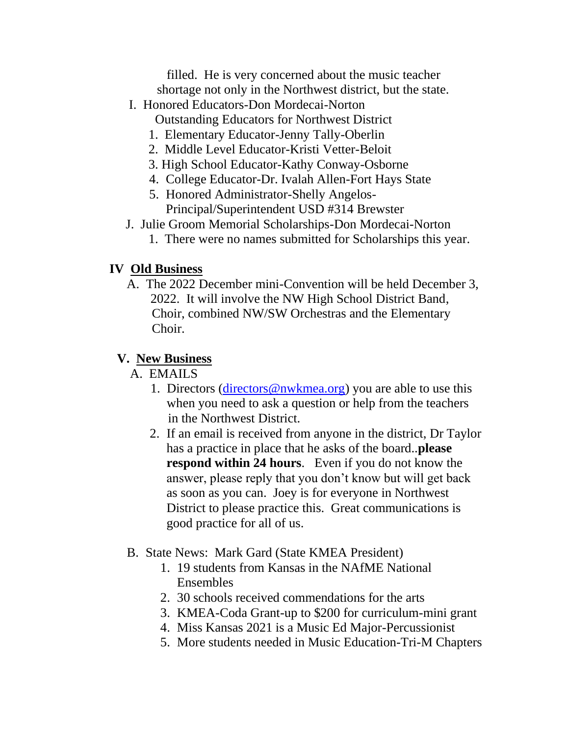filled. He is very concerned about the music teacher shortage not only in the Northwest district, but the state.

- I. Honored Educators-Don Mordecai-Norton
	- Outstanding Educators for Northwest District
	- 1. Elementary Educator-Jenny Tally-Oberlin
	- 2. Middle Level Educator-Kristi Vetter-Beloit
	- 3. High School Educator-Kathy Conway-Osborne
	- 4. College Educator-Dr. Ivalah Allen-Fort Hays State
	- 5. Honored Administrator-Shelly Angelos-Principal/Superintendent USD #314 Brewster
- J. Julie Groom Memorial Scholarships-Don Mordecai-Norton
	- 1. There were no names submitted for Scholarships this year.

## **IV Old Business**

 A. The 2022 December mini-Convention will be held December 3, 2022. It will involve the NW High School District Band, Choir, combined NW/SW Orchestras and the Elementary Choir.

# **V. New Business**

# A. EMAILS

- 1. Directors [\(directors@nwkmea.org\)](mailto:directors@nwkmea.org) you are able to use this when you need to ask a question or help from the teachers in the Northwest District.
- 2. If an email is received from anyone in the district, Dr Taylor has a practice in place that he asks of the board..**please respond within 24 hours**. Even if you do not know the answer, please reply that you don't know but will get back as soon as you can. Joey is for everyone in Northwest District to please practice this. Great communications is good practice for all of us.
- B. State News: Mark Gard (State KMEA President)
	- 1. 19 students from Kansas in the NAfME National Ensembles
	- 2. 30 schools received commendations for the arts
	- 3. KMEA-Coda Grant-up to \$200 for curriculum-mini grant
	- 4. Miss Kansas 2021 is a Music Ed Major-Percussionist
	- 5. More students needed in Music Education-Tri-M Chapters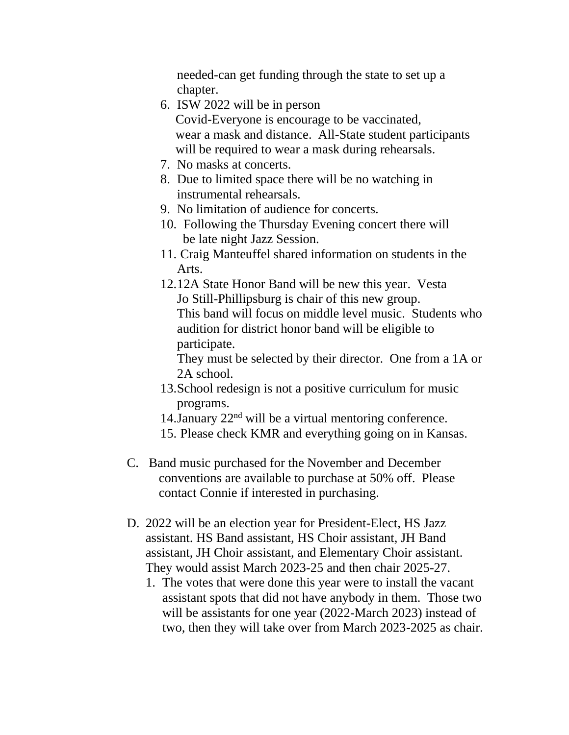needed-can get funding through the state to set up a chapter.

- 6. ISW 2022 will be in person Covid-Everyone is encourage to be vaccinated, wear a mask and distance. All-State student participants will be required to wear a mask during rehearsals.
- 7. No masks at concerts.
- 8. Due to limited space there will be no watching in instrumental rehearsals.
- 9. No limitation of audience for concerts.
- 10. Following the Thursday Evening concert there will be late night Jazz Session.
- 11. Craig Manteuffel shared information on students in the Arts.
- 12.12A State Honor Band will be new this year. Vesta Jo Still-Phillipsburg is chair of this new group. This band will focus on middle level music. Students who audition for district honor band will be eligible to participate.

They must be selected by their director. One from a 1A or 2A school.

- 13.School redesign is not a positive curriculum for music programs.
- 14. January  $22<sup>nd</sup>$  will be a virtual mentoring conference.
- 15. Please check KMR and everything going on in Kansas.
- C. Band music purchased for the November and December conventions are available to purchase at 50% off. Please contact Connie if interested in purchasing.
- D. 2022 will be an election year for President-Elect, HS Jazz assistant. HS Band assistant, HS Choir assistant, JH Band assistant, JH Choir assistant, and Elementary Choir assistant. They would assist March 2023-25 and then chair 2025-27.
	- 1. The votes that were done this year were to install the vacant assistant spots that did not have anybody in them. Those two will be assistants for one year (2022-March 2023) instead of two, then they will take over from March 2023-2025 as chair.